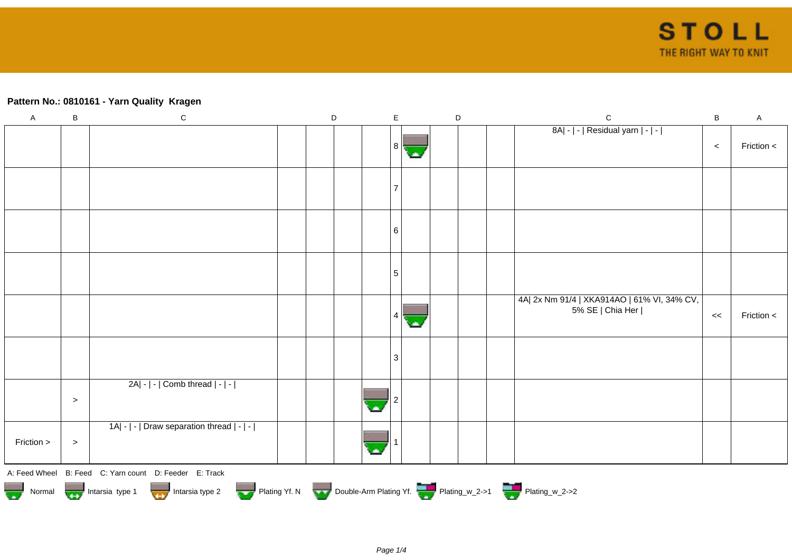## **Pattern No.: 0810161 - Yarn Quality Kragen**

| $\boldsymbol{\mathsf{A}}$ | $\sf B$                                                                                                                                    | $\mathbf C$                                |  | $\mathsf D$ |  | $\mathsf E$    |    |  | $\mathsf D$ |  | ${\bf C}$                                                       | $\sf B$ | $\mathsf A$ |
|---------------------------|--------------------------------------------------------------------------------------------------------------------------------------------|--------------------------------------------|--|-------------|--|----------------|----|--|-------------|--|-----------------------------------------------------------------|---------|-------------|
|                           |                                                                                                                                            |                                            |  |             |  | 8 <sup>1</sup> | С. |  |             |  | 8A  -   -   Residual yarn   -   -                               | $\,<$   | Friction <  |
|                           |                                                                                                                                            |                                            |  |             |  | 7              |    |  |             |  |                                                                 |         |             |
|                           |                                                                                                                                            |                                            |  |             |  | 6              |    |  |             |  |                                                                 |         |             |
|                           |                                                                                                                                            |                                            |  |             |  | 5              |    |  |             |  |                                                                 |         |             |
|                           |                                                                                                                                            |                                            |  |             |  | 4              |    |  |             |  | 4A  2x Nm 91/4   XKA914AO   61% VI, 34% CV,<br>5% SE   Chia Her | $\,<$   | Friction <  |
|                           |                                                                                                                                            |                                            |  |             |  | $\mathbf{3}$   |    |  |             |  |                                                                 |         |             |
|                           | $\, >$                                                                                                                                     | 2A  -   -   Comb thread   -   -            |  |             |  |                |    |  |             |  |                                                                 |         |             |
| Friction >                | $\, >$                                                                                                                                     | 1A  -   -   Draw separation thread   -   - |  |             |  |                |    |  |             |  |                                                                 |         |             |
|                           | A: Feed Wheel B: Feed C: Yarn count D: Feeder E: Track<br>Normal More Intarsia type 1 Intarsia type 2 Plating Yf. N Double-Arm Plating Yf. |                                            |  |             |  |                |    |  |             |  |                                                                 |         |             |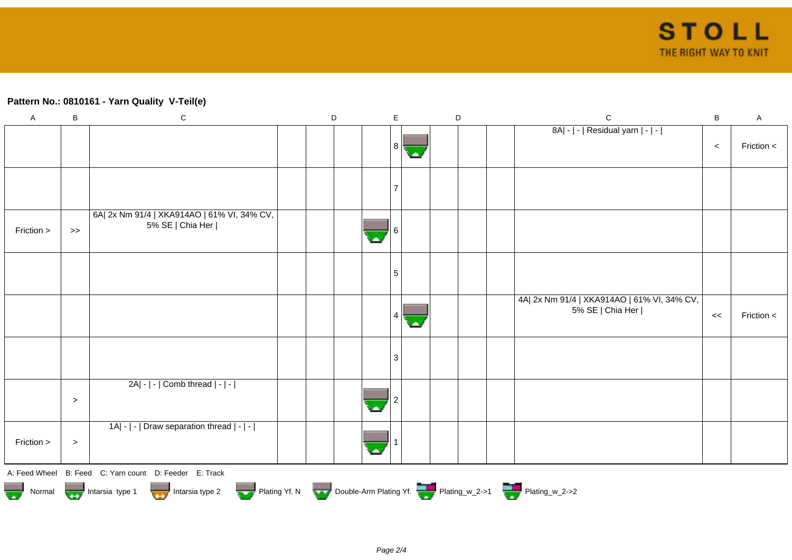## **Pattern No.: 0810161 - Yarn Quality V-Teil(e)**

| $\boldsymbol{\mathsf{A}}$ | B                                                                                                     | ${\bf C}$                                                      |  | $\mathsf D$ |  | E |  | $\mathsf D$ |  |  | $\mathbf C$                                                     | B     | $\mathsf A$    |
|---------------------------|-------------------------------------------------------------------------------------------------------|----------------------------------------------------------------|--|-------------|--|---|--|-------------|--|--|-----------------------------------------------------------------|-------|----------------|
|                           |                                                                                                       |                                                                |  |             |  | 8 |  |             |  |  | 8A  -   -   Residual yarn   -   -                               | $\,<$ | Friction $\lt$ |
|                           |                                                                                                       |                                                                |  |             |  |   |  |             |  |  |                                                                 |       |                |
| Friction >                | $>$                                                                                                   | 6A 2x Nm 91/4   XKA914AO   61% VI, 34% CV,<br>5% SE   Chia Her |  |             |  |   |  |             |  |  |                                                                 |       |                |
|                           |                                                                                                       |                                                                |  |             |  | 5 |  |             |  |  |                                                                 |       |                |
|                           |                                                                                                       |                                                                |  |             |  |   |  |             |  |  | 4A  2x Nm 91/4   XKA914AO   61% VI, 34% CV,<br>5% SE   Chia Her | <<    | Friction <     |
|                           |                                                                                                       |                                                                |  |             |  | 3 |  |             |  |  |                                                                 |       |                |
|                           | $\, > \,$                                                                                             | 2A  -   -   Comb thread   -   -                                |  |             |  |   |  |             |  |  |                                                                 |       |                |
| Friction >                | $\, >$                                                                                                | 1A  -   -   Draw separation thread   -   -                     |  |             |  |   |  |             |  |  |                                                                 |       |                |
|                           |                                                                                                       | A: Feed Wheel B: Feed C: Yarn count D: Feeder E: Track         |  |             |  |   |  |             |  |  |                                                                 |       |                |
|                           | Normal Montain Strategy Intarsia type 2 Plating Yf. N Double-Arm Plating Yf. N Double-Arm Plating Yf. |                                                                |  |             |  |   |  |             |  |  |                                                                 |       |                |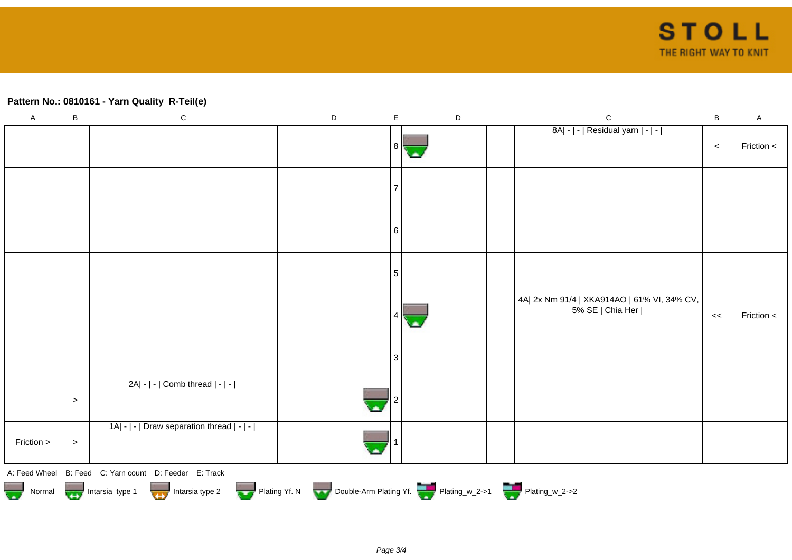## **Pattern No.: 0810161 - Yarn Quality R-Teil(e)**

| $\mathsf A$ | B         | $\mathbf C$                                                                                                                                | D | $\mathsf E$ | $\mathsf D$ | $\mathsf C$                                                     | $\sf B$ | $\mathsf{A}$ |
|-------------|-----------|--------------------------------------------------------------------------------------------------------------------------------------------|---|-------------|-------------|-----------------------------------------------------------------|---------|--------------|
|             |           |                                                                                                                                            |   | 8 I         |             | 8A  -   -   Residual yarn   -   -                               | $\,<$   | Friction <   |
|             |           |                                                                                                                                            |   | 7           |             |                                                                 |         |              |
|             |           |                                                                                                                                            |   | 6           |             |                                                                 |         |              |
|             |           |                                                                                                                                            |   | 5           |             |                                                                 |         |              |
|             |           |                                                                                                                                            |   |             |             | 4A  2x Nm 91/4   XKA914AO   61% VI, 34% CV,<br>5% SE   Chia Her | <<      | Friction <   |
|             |           |                                                                                                                                            |   | 3           |             |                                                                 |         |              |
|             | $\, > \,$ | 2A  -   -   Comb thread   -   -                                                                                                            |   |             |             |                                                                 |         |              |
| Friction >  | $\, >$    | 1A  -   -   Draw separation thread   -   -                                                                                                 |   |             |             |                                                                 |         |              |
|             |           | A: Feed Wheel B: Feed C: Yarn count D: Feeder E: Track<br>Normal Montain Strategy Intarsia type 2 but Plating Yf. N Double-Arm Plating Yf. |   |             |             |                                                                 |         |              |